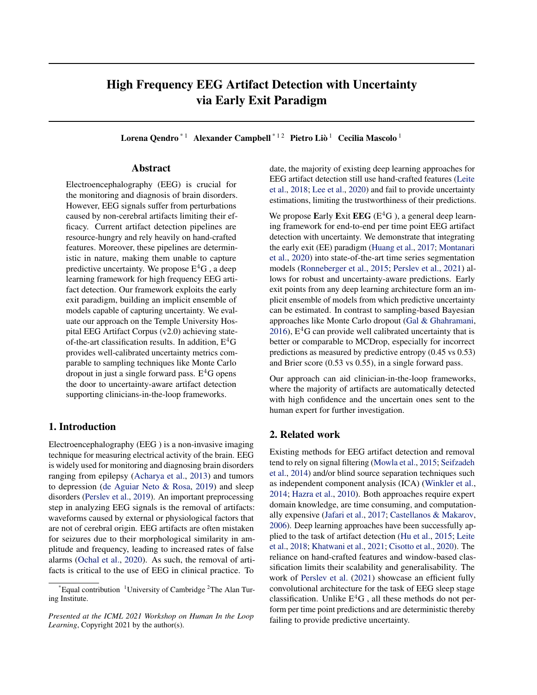# High Frequency EEG Artifact Detection with Uncertainty via Early Exit Paradigm

Lorena Qendro $^{\ast\,1}\;$  Alexander Campbell $^{\ast\,1\,2}\;$  Pietro Liò $^1\;$  Cecilia Mascolo $^1\;$ 

### Abstract

Electroencephalography (EEG) is crucial for the monitoring and diagnosis of brain disorders. However, EEG signals suffer from perturbations caused by non-cerebral artifacts limiting their efficacy. Current artifact detection pipelines are resource-hungry and rely heavily on hand-crafted features. Moreover, these pipelines are deterministic in nature, making them unable to capture predictive uncertainty. We propose  $E^4G$ , a deep learning framework for high frequency EEG artifact detection. Our framework exploits the early exit paradigm, building an implicit ensemble of models capable of capturing uncertainty. We evaluate our approach on the Temple University Hospital EEG Artifact Corpus (v2.0) achieving stateof-the-art classification results. In addition,  $E^4G$ provides well-calibrated uncertainty metrics comparable to sampling techniques like Monte Carlo dropout in just a single forward pass.  $E^4$ G opens the door to uncertainty-aware artifact detection supporting clinicians-in-the-loop frameworks.

### 1. Introduction

Electroencephalography (EEG ) is a non-invasive imaging technique for measuring electrical activity of the brain. EEG is widely used for monitoring and diagnosing brain disorders ranging from epilepsy (Acharya et al., 2013) and tumors to depression (de Aguiar Neto & Rosa, 2019) and sleep disorders [\(Perslev et al.,](#page-5-0) [2019\)](#page-5-0). An important preprocessing step in analyzing EEG signals is the removal of artifacts: waveforms caused by external or physiological factors that are not of cerebral origin. EEG artifacts are often mistaken for seizures due to their morphological similarity in amplitude and frequency, leading to increased rates of false alarms [\(Ochal et al.,](#page-5-0) [2020\)](#page-5-0). As such, the removal of artifacts is critical to the use of EEG in clinical practice. To

date, the majority of existing deep learning approaches for EEG artifact detection still use hand-crafted features [\(Leite](#page-5-0) [et al.,](#page-5-0) [2018;](#page-5-0) [Lee et al.,](#page-4-0) [2020\)](#page-4-0) and fail to provide uncertainty estimations, limiting the trustworthiness of their predictions.

We propose Early Exit EEG ( $E^4$ G), a general deep learning framework for end-to-end per time point EEG artifact detection with uncertainty. We demonstrate that integrating the early exit (EE) paradigm [\(Huang et al.,](#page-4-0) [2017;](#page-4-0) [Montanari](#page-5-0) [et al.,](#page-5-0) [2020\)](#page-5-0) into state-of-the-art time series segmentation models [\(Ronneberger et al.,](#page-5-0) [2015;](#page-5-0) [Perslev et al.,](#page-5-0) [2021\)](#page-5-0) allows for robust and uncertainty-aware predictions. Early exit points from any deep learning architecture form an implicit ensemble of models from which predictive uncertainty can be estimated. In contrast to sampling-based Bayesian approaches like Monte Carlo dropout [\(Gal & Ghahramani,](#page-4-0) [2016\)](#page-4-0),  $E^4$ G can provide well calibrated uncertainty that is better or comparable to MCDrop, especially for incorrect predictions as measured by predictive entropy (0.45 vs 0.53) and Brier score (0.53 vs 0.55), in a single forward pass.

Our approach can aid clinician-in-the-loop frameworks, where the majority of artifacts are automatically detected with high confidence and the uncertain ones sent to the human expert for further investigation.

### 2. Related work

Existing methods for EEG artifact detection and removal tend to rely on signal filtering [\(Mowla et al.,](#page-5-0) [2015;](#page-5-0) [Seifzadeh](#page-5-0) [et al.,](#page-5-0) [2014\)](#page-5-0) and/or blind source separation techniques such as independent component analysis (ICA) [\(Winkler et al.,](#page-5-0) [2014;](#page-5-0) [Hazra et al.,](#page-4-0) [2010\)](#page-4-0). Both approaches require expert domain knowledge, are time consuming, and computationally expensive [\(Jafari et al.,](#page-4-0) [2017;](#page-4-0) Castellanos & Makarov, 2006). Deep learning approaches have been successfully applied to the task of artifact detection [\(Hu et al.,](#page-4-0) [2015;](#page-4-0) [Leite](#page-5-0) [et al.,](#page-5-0) [2018;](#page-5-0) [Khatwani et al.,](#page-4-0) [2021;](#page-4-0) Cisotto et al., 2020). The reliance on hand-crafted features and window-based classification limits their scalability and generalisability. The work of [Perslev et al.](#page-5-0) [\(2021\)](#page-5-0) showcase an efficient fully convolutional architecture for the task of EEG sleep stage classification. Unlike  $E^4G$ , all these methods do not perform per time point predictions and are deterministic thereby failing to provide predictive uncertainty.

Equal contribution  $1$ University of Cambridge  $2$ The Alan Turing Institute.

*Presented at the ICML 2021 Workshop on Human In the Loop Learning*, Copyright 2021 by the author(s).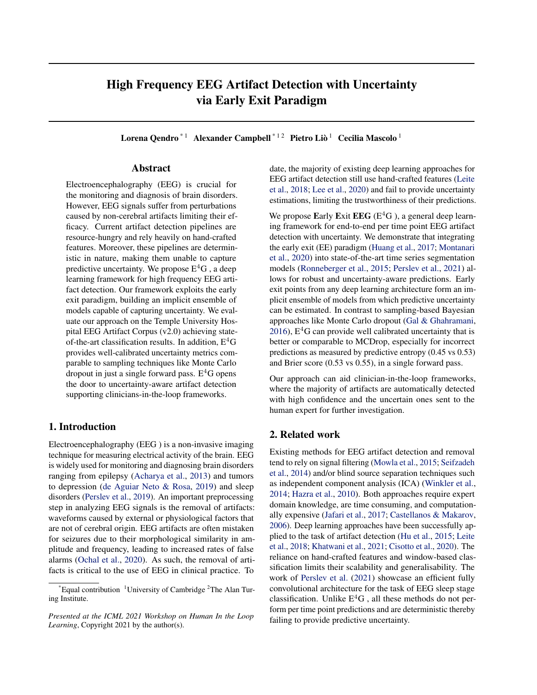### 3. Method

Let  $x_{1:T}$  2  $R^{M}$  <sup>T</sup> denote a time series with channels of lengthT, while y<sub>1:T</sub> 2 f 0; 1g<sup>C T</sup> is a corresponding time series of class labels. An artifact is de ned as a subsequence of time poin $(y_t, y_{t+s})$  y<sub>1:T</sub> of lengths such that  $1 < s$  T.

### 3.1. Ensemble of early exits

Let f () represent any multi-layered neural network archi-L<sup>(i)</sup>, training the blocks that precede each exit point <sup>1)</sup> for tecture with parameterswhich can be decomposed in Bo blocks (or layers)

$$
f(x_{1:T}) = (f^{(B)} \t f^{(B-1)} \t f^{(1)})(x_{1:T})
$$
 (1)

where  $=$   $\left[\begin{array}{cc} B \\ i=1 \end{array}\right]$  and denotes function composition  $(f^{(i)} - f^{(j)})( ) = f^{(i)}(f^{(j)})( )$  wheni  $\theta$  j.

Given the intermediary output<sup>(i)</sup> = f<sub>i</sub>(h<sup>(i 1)</sup>) of the i-th block, letg $^{(i)}$  $\binom{1}{i}$  () denote a corresponding exit branch with parameters, Each exit branch maps the intermediary output to a prediction  $\phi_{1}^{(i)}$  $_{1:T}^{(i)} = g_{i}(h^{(i)})$ . The set of early exit predictions

$$
f(x_{1:T}) = f \hat{y}_{1:T}^{(1)}; \dots; \hat{y}_{1:T}^{(B)}g;
$$
 (2)

Figure 1.Training with early exits. Each exit branch<sup>(i)</sup> propagates the prediction error in relation to the ground truth label  $i = 1$  : : : : :  $B$  .

speci c exit point forces the network to learn better features at the preceding laye[rs \(Scardapane et al.,](#page-5-0) 2020).

This procedure allows for an ef cient training of the whole ensemble in one go. Furthermore, differently from traditional deep ensembles using varying architectures, EEs as an ensemble allow for the earlier exits to incorporate feature learnt from the exits that follow.

3.3. Inference and predictive uncertainty

During inference, a single forward pass of the network produces a sequence of predictions, exportentiallymore accurate than the previous one. The overall prediction of the

 $(4)$ 

where each  $\mathfrak{h}_{1\cdot}^{(\mathfrak{i})}$  $1/1$  represents the per time point prediction ensemble can be computed as the mean of a categorical of thei-th model, constituting an implicit ensemble of net-distribution obtained from aggregating the predictions from works. the individual exits

The typical use case of EEs is for conditional computation models where each exit is gated on a satis ed criterion such as accuracy in order to save time and computation (Bolukbasi et al., 2017). However, we exploit this paradigm to havemore than oneprediction at trainingand inference

time (Equation 2), equipping the model with awareness of where the softmax function is applied time pointwise. Aluncertainty which can be leveraged for a variety of taskshough the softmax function scales inputs to the ranget, ranging from robustness (out-of-distribution detect[ion \(O](#page-5-0)vait is not a valid measure of probability since it is based [dia et al.](#page-5-0), [2019](#page-5-0))) to decision making (optimal group voting on a point estimate. In contrast, as shown in Equ[ati](#page-6-0)on 7 strategie[s \(Shahzad & Lavesson,](#page-5-0) 2013)). (Appendix 6), using our framework, real probability can be approximated fromB different possible outcomes from a

### 3.2. Training with early exists

To train a model with EEs, the loss function is a composition Given the approximate distribution in Equati[on](#page-6-0) 7 (Apof the individual predictive losses of each exit (see Figure 1) pendix 6), EG can therefore capture predictive uncertainty As such, each prediction propagates the error in relation t<sup>as measured</sup> by metrics such as entropy:

the ground truth label to the blocks preceding that exit. This can be represented as a weighted sum

$$
L = \sum_{i=1}^{10} i L^{(i)}(y_{1:T}; \hat{y}_{1:T}^{(i)})
$$
 (3)

 $H(y_{1:T} | x_{1:T}) =$  $V_1$   $T_2$  2f 0;1g  $p(y_{1:T} jx_{1:T})$  log  $p(y_{1:T} jx_{1:T})$ : (5)

Predictive uncertainty metrics give an interpretation of model decisions that can inform post-processing heuristics

whereL $^{(\mathrm{i})}(\ ;\ )$  is the loss function for the th block's exit and i 2 f 0; 1g is a weight parameter corresponding to thetions for further investigation by a human expert, thereby, relative importance of the exit. Increasing the weight at ancreasing the overall trust and accuracy of the model. which would allow for the isolation highly uncertain predic-

$$
p(y_{1:T}jx_{1:T}) = \frac{1}{B}\sum_{i=1}^{X^B} \text{Softmax}(y_{1:T}^{(i)})
$$

single underlying data generating process.

X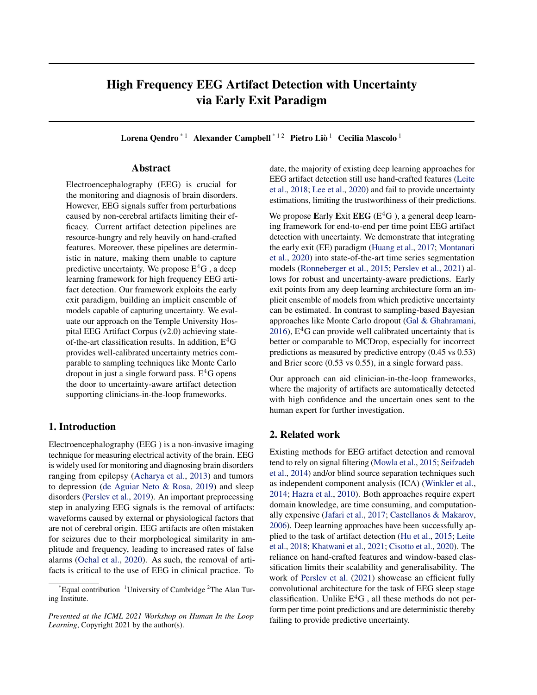High Frequency EEG Artifact Detection with Uncertainty via Early Exit Paradigm

| Model                                                                                                                         | F1 Score" Precision"       | Recall" | <b>Predictive Entropy</b> |        | <b>Brier Score</b>                                                                                    |        | Predictive Con dence |        |
|-------------------------------------------------------------------------------------------------------------------------------|----------------------------|---------|---------------------------|--------|-------------------------------------------------------------------------------------------------------|--------|----------------------|--------|
|                                                                                                                               |                            |         | True #                    | False" | True #                                                                                                | False" | True "               | False# |
| Vanilla U-Net                                                                                                                 | 0.840 0.854 0.854 0.832 11 |         | $\overline{\phantom{0}}$  |        |                                                                                                       |        |                      |        |
| MCDrop U-Net                                                                                                                  |                            |         |                           |        | 0.0. 0.222 00 0.200 0.528 0.0 0.528 0.0 0.023 0.0 0.243 0.0 0.457 0.0 0.243 0.0 0.821 0.0 0.821 0.807 |        |                      |        |
| 01. 0.274 0.1 0.886 01 0.547 0.01 0.647 0.1 0.274 0.274 0.278 11 0.278 0.01 0.531 0.01 0.030 0.01 0.547 0.01 0.886 0.01 0.274 |                            |         |                           |        |                                                                                                       |        |                      |        |

Table 1.Classi cation results and uncertainty metrics for EEG artifact detection on TUH-A. Reported results are the mean and standard deviation across 5 runs, each with a different random seed. The best results correspond to low uncertainty for true (right) prodictions ( and high uncertainty for false (wrong) prediction\$.(

# 4. Experiments

### 4.3. Results

4.1. Dataset

Table 1 presents results for the task of per time point EEG

We evaluate our framework on the Temple University EEG. These serves is the consider and the score, Artifact Corpus (v2.0) (TUH-A) (Hamid et al., 2020). The dataset is composed of real EEG signals from 213 patients concertainty (see Appendix C.1 for a detailed description). contaminated with artifacts which are human expert annoartifact detection on the TUH-A test dataset. In addition predictive con-dence and predictive entropy as measures of

tated. The artifacts range from chewing, eye movemenf, rom the results it is clear that training with EEs does not muscular movement, shivering and electrode errors. To bestegrade F1 score compared to the vanilla baseline (83.8% of our knowledge, we are the rst to use this dataset in an au S 84%). Instead, activating dropout during inference in tomatic artifact detection framework. Appendix A contains MCDrop lowers F1 score by3%, suggesting a higher numfurther details on the dataset and preprocessing.

### 4.2. Implementation

ber of samples is required at test time to compensate for the dropped weights during inference. Already, by considering only 5 samples MCDrop increases latency by 5.2x compared to the vanilla baseline, while  $\mathbf \mathbf G$  increases latency only marginally (by only  $1.1x$ )<sup>1</sup>

For  $E^4G$ , the backbone neural network $($ ) is implemented

as a temporal U-Net (Perslev et al., 2021), a fully convoluas a temporal S Hot (Fersion Stall, 2021), a rally serivered mortantly, EG can provide well calibrated uncertainty

tation. We place exit block**g**  $\overline{\mathfrak{g}}$  ( ) after each decoder block resulting in 4 predictions plus the output layer making a ensemble of  $B = 5$  as depicted in Figure 2. The ensemble size is in line with previous work suggesting the optimal number of samples needed for well calibrated uncertainty (Ovadia et al., 2019; Qendro et al., 2021a;b).

We compare  $EG$  with two baselines both using the same backbone architecture. The rst is a vanilla U-Net with no early exits and the second adds dropout at the end of each decoder block with a probability  $\phi = 0:2$ . The latter model is used for Monte Carlo dropout (MCDrop) (Gal & Ghahramani, 2015) based on 5 forward passes during testing.

For training, we use a joint loss composed of an equally weighted cross entropy loss and dice loss (Taghanaki et al., 2019; Isensee et al., 2019). All exits are considered as equally important by setting  $= 1$ . We train all models for a maximum of 200 epochs with a batch size of 50 using

the Adam optimizer (Kingma & Ba, 2014) with a learning rate of 1e-3. To prevent over tting, model training was stopping based on no improvement in validation F1 score. By the connections which perform feature concatenation (bottom). All experiments are performed in PyTorch (Paszke et al. Exit blocks are placed after each hidden decoder block. 2019). More details about model implementation can be found in Table 2 in Appendix B. Figure 2.Overview of  $E$ <sup>4</sup>G based on a U-Net. The neural networks  $f_e$ ,  $f_d$ , andg represent the encoder, decoder and exit blocks, respectively (top). Each block in the encoder-decoder is connected

 $1$ Latency is calculated based on the average of 5 runs on the whole test set.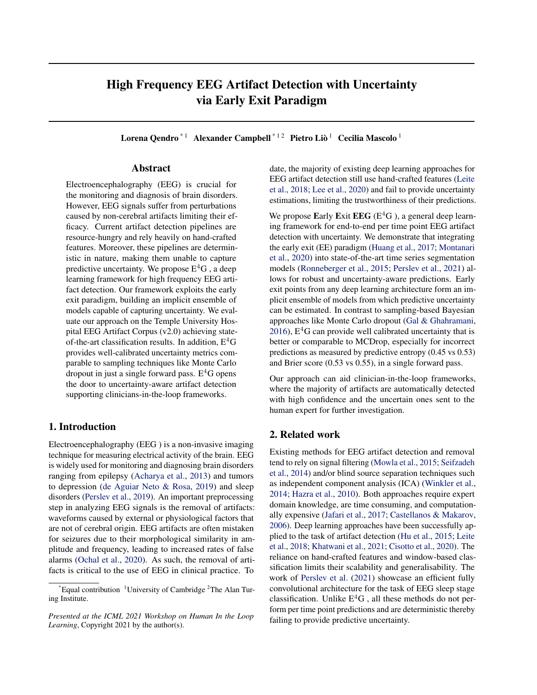(a) Eye movement, exit 1 (b) Muscle movement, exit 1

(c)Eye movement, exit 5 (d) Muscle movement, exit 5

Figure 3.Per time point EEG artifact predictions for Exits 1 and 5 within a 10 second window. Figure (a) and (c) show disagreement on how the artifact is distributed across time. Figure (b) and (d) show exit disagreement on the start and end point of the artifact. [Green = Actual, Red = Predicted, Brown = True prediction (Red + Green)]

that is better or comparable to MCDrop, especially for incor-Although we only show two of the exits, Table 3 in Aprect predictions as measured by predictive entropy (0.45 vpendix C.2 shows results for all exits in the ensemble as 0.53) and Brier score (0.53 vs 0.55), without incurring the well as examples of more artifacts. The strength of our computation overhead of the latter framework. Particularly framework is in exploiting exit predictive diversity for better within a medical setting, a highly uncertain false prediction, performance and interpretability through the use of differlike the one provided by  $E_1$ , is more informative for a ent ensemble aggregating strategies such as majority voting, clinician-in-the-loop framework, where uncertain samples model averaging and automatic thresholding which we leave could be transferred to a human expert for further investigafor future work. tion (Leibig et al., 2017).

5. Conclusion

#### 4.4. Recommendations for using predictive uncertainty

Analyzing the results of the individual exits from  $6$  allows for uncertainty-informed decision making. Figure 3a via the EE paradigm. Using the largest publicly available and Figure 3c show an example for an eye movement article artifact dataset, we evaluate our approach on the task fact on a 10 second window. The two exits clearly disagree of artifact detection and demonstrate how uncertainty, via since their predictions (red sections) highlight the presence 4G, can be used to inform decision making. Compared of the artifact in contradicting areas, particularly for the time to the commonly used method of uncertainty quanti capoints furthest away from the true occurrence of the artifaction, Monte Carlo dropout (MCDrop), E performs bet-Given high uncertainty of a false prediction, an automaticient, memory sails allow the providing comparable wellrecommendation can be made for an expert clinician to recalibrated uncertainties in a single forward pass. In addition, view the sample (Gara Rodríguez et al., 2020; Xia et al., 2021). We introduce a general framework for enabling uncertainty quanti cation in any feed-forward deep neural network unlike MCDrop our framework has access to uncertainty within the ensemble during training. Other methods that

On the other hand, Figure 3b and 3d show an example wherigcorporate this functionality tend only to be pure Bayesian the two exits agree over when the majority of a muscle moveapproaches that struggle with under tting at scale and pament artifact occur (brown sections). However, uncertaintyameter ef ciency (Dusenberry et al., 2020). Future work is still apparent over the start and end time of the artifact ill include applying the EE paradigm to other architec-This is valuable information that can be used to automatiures as well as other medical datasets like electronic health cally detect artifact boundaries for downstream removal andecords. We envision extending our framework to exploit interpolation (Yang et al., 2018). the uncertainty during training for adaptive decision making on joint tasks such as interpolation.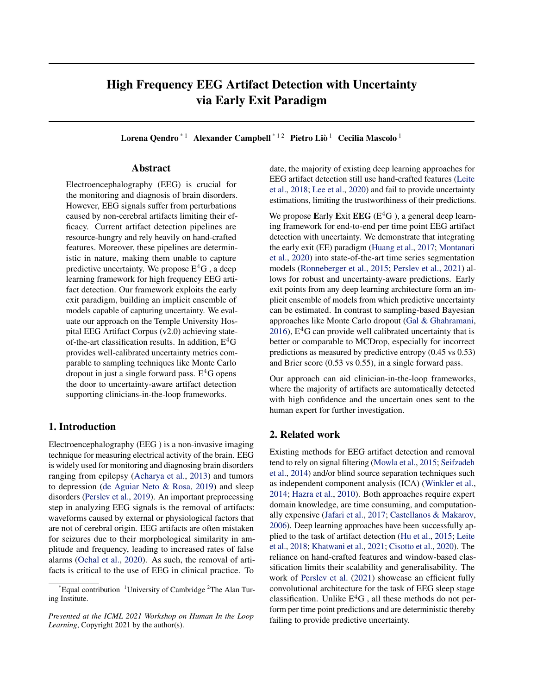### <span id="page-4-0"></span>6. Acknowledgments

This work is supported by Nokia Bell Labs through their donation for the Centre of Mobile, Wearable Systems and Augmented Intelligence, ERC Project 833296 (EAR), as well as The Alan Turing Institute under the EPSRC grant EP/N510129/1.

## References

- Acharya, U. R., Sree, S. V., Swapna, G., Martis, R. J., and Suri, J. S. Automated eeg analysis of epilepsy: a review. *Knowledge-Based Systems*, 45:147–165, 2013.
- Bolukbasi, T., Wang, J., Dekel, O., and Saligrama, V. Adaptive neural networks for fast test-time prediction. *arXiv preprint arXiv:1702.07811*, 2017.
- Castellanos, N. P. and Makarov, V. A. Recovering eeg brain signals: artifact suppression with wavelet enhanced independent component analysis. *Journal of neuroscience methods*, 158(2):300–312, 2006.
- Cheng, J. Y., Goh, H., Dogrusoz, K., Tuzel, O., and Azemi, E. Subject-aware contrastive learning for biosignals. *arXiv preprint arXiv:2007.04871*, 2020.
- Chiu, C.-Y., Hsiao, W.-Y., Yeh, Y.-C., Yang, Y.-H., and Su, A. W.-Y. Mixing-specific data augmentation techniques for improved blind violin/piano source separation. In *2020 IEEE 22nd International Workshop on Multimedia Signal Processing (MMSP)*, pp. 1–6. IEEE, 2020.
- Cisotto, G., Zanga, A., Chlebus, J., Zoppis, I., Manzoni, S., and Markowska-Kaczmar, U. Comparison of attentionbased deep learning models for eeg classification. *arXiv preprint arXiv:2012.01074*, 2020.
- de Aguiar Neto, F. S. and Rosa, J. L. G. Depression biomarkers using non-invasive eeg: A review. *Neuroscience & Biobehavioral Reviews*, 105:83–93, 2019.
- Dusenberry, M., Jerfel, G., Wen, Y., Ma, Y., Snoek, J., Heller, K., Lakshminarayanan, B., and Tran, D. Efficient and scalable bayesian neural nets with rank-1 factors. In *International conference on machine learning*, pp. 2782– 2792. PMLR, 2020.
- Gal, Y. and Ghahramani, Z. Bayesian convolutional neural networks with bernoulli approximate variational inference. *arXiv preprint arXiv:1506.02158*, 2015.
- Gal, Y. and Ghahramani, Z. Dropout as a bayesian approximation: Representing model uncertainty in deep learning. In *international conference on machine learning*, pp. 1050–1059, 2016.
- García Rodríguez, C., Vitrià, J., and Mora, O. Uncertaintybased human-in-the-loop deep learning for land cover segmentation. *Remote Sensing*, 12(22):3836, 2020.
- Hamid, A., Gagliano, K., Rahman, S., Tulin, N., Tchiong, V., Obeid, I., and Picone, J. The temple university artifact corpus: An annotated corpus of eeg artifacts. In *2020 IEEE Signal Processing in Medicine and Biology Symposium (SPMB)*, pp. 1–4. IEEE, 2020.
- Hazra, B., Roffel, A., Narasimhan, S., and Pandey, M. Modified cross-correlation method for the blind identification of structures. *Journal of Engineering Mechanics*, 136(7): 889–897, 2010.
- Hu, J., Wang, C.-s., Wu, M., Du, Y.-x., He, Y., and She, J. Removal of eog and emg artifacts from eeg using combination of functional link neural network and adaptive neural fuzzy inference system. *Neurocomputing*, 151: 278–287, 2015.
- Huang, G., Chen, D., Li, T., Wu, F., van der Maaten, L., and Weinberger, K. Q. Multi-scale dense networks for resource efficient image classification. *arXiv preprint arXiv:1703.09844*, 2017.
- Isensee, F., Petersen, J., Kohl, S. A., Jäger, P. F., and Maier-Hein, K. H. nnu-net: Breaking the spell on successful medical image segmentation. *arXiv preprint arXiv:1904.08128*, 1:1–8, 2019.
- Jafari, A., Gandhi, S., Konuru, S. H., Hairston, W. D., Oates, T., and Mohsenin, T. An eeg artifact identification embedded system using ica and multi-instance learning. In *2017 IEEE International Symposium on Circuits and Systems (ISCAS)*, pp. 1–4. IEEE, 2017.
- Khatwani, M., Rashid, H.-A., Paneliya, H., Horton, M., Waytowich, N., Hairston, W. D., and Mohsenin, T. A flexible multichannel eeg artifact identification processor using depthwise-separable convolutional neural networks. *ACM Journal on Emerging Technologies in Computing Systems (JETC)*, 17(2):1–21, 2021.
- Kingma, D. P. and Ba, J. Adam: A method for stochastic optimization. *arXiv preprint arXiv:1412.6980*, 2014.
- Lee, S. S., Lee, K., and Kang, G. Eeg artifact removal by bayesian deep learning & ica. In *2020 42nd Annual International Conference of the IEEE Engineering in Medicine & Biology Society (EMBC)*, pp. 932–935. IEEE, 2020.
- Leibig, C., Allken, V., Ayhan, M. S., Berens, P., and Wahl, S. Leveraging uncertainty information from deep neural networks for disease detection. *Scientific reports*, 7(1): 1–14, 2017.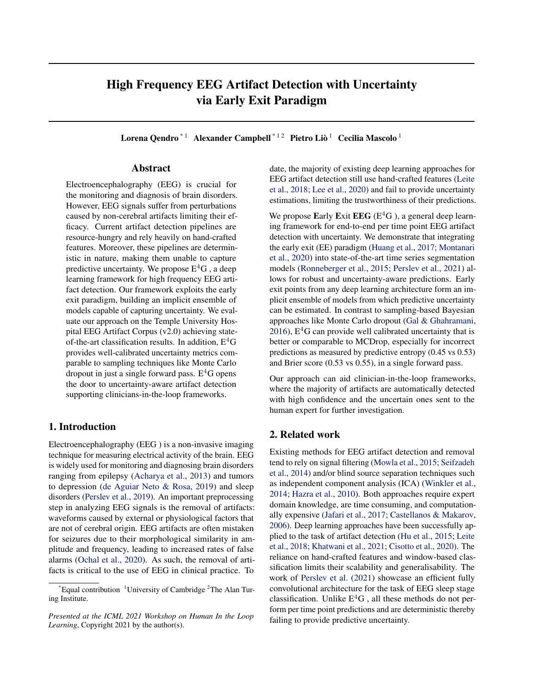- <span id="page-5-0"></span>Leite, N. M. N., Pereira, E. T., Gurjão, E. C., and Veloso, L. R. Deep convolutional autoencoder for eeg noise filtering. In *2018 IEEE International Conference on Bioinformatics and Biomedicine (BIBM)*, pp. 2605–2612. IEEE, 2018.
- Montanari, A., Sharma, M., Jenkus, D., Alloulah, M., Qendro, L., and Kawsar, F. eperceptive: energy reactive embedded intelligence for batteryless sensors. In *Proceedings of the 18th Conference on Embedded Networked Sensor Systems*, pp. 382–394, 2020.
- Mowla, M. R., Ng, S.-C., Zilany, M. S., and Paramesran, R. Artifacts-matched blind source separation and wavelet transform for multichannel eeg denoising. *Biomedical Signal Processing and Control*, 22:111–118, 2015.
- Ochal, D., Rahman, S., Ferrell, S., Elseify, T., Obeid, I., and Picone, J. The temple university hospital eeg corpus: Annotation guidelines. *Institute for Signal and Information Processing Report*, 1(1), 2020.
- Ovadia, Y., Fertig, E., Ren, J., Nado, Z., Sculley, D., Nowozin, S., Dillon, J. V., Lakshminarayanan, B., and Snoek, J. Can you trust your model's uncertainty? evaluating predictive uncertainty under dataset shift. *arXiv preprint arXiv:1906.02530*, 2019.
- Paszke, A., Gross, S., Massa, F., Lerer, A., Bradbury, J., Chanan, G., Killeen, T., Lin, Z., Gimelshein, N., Antiga, L., et al. Pytorch: An imperative style, high-performance deep learning library. *arXiv preprint arXiv:1912.01703*, 2019.
- Perslev, M., Jensen, M. H., Darkner, S., Jennum, P. J., and Igel, C. U-time: A fully convolutional network for time series segmentation applied to sleep staging. *arXiv preprint arXiv:1910.11162*, 2019.
- Perslev, M., Darkner, S., Kempfner, L., Nikolic, M., Jennum, P. J., and Igel, C. U-sleep: resilient high-frequency sleep staging. *NPJ digital medicine*, 4(1):1–12, 2021.
- Qendro, L., Chauhan, J., Ramos, A. G. C., and Mascolo, C. The benefit of the doubt: Uncertainty aware sensing for edge computing platforms. *arXiv preprint arXiv:2102.05956*, 2021a.
- Qendro, L., Ha, S., de Jong, R., and Maji, P. Stochasticshield: A probabilistic approach towards training-free adversarial defense in quantized cnns. *arXiv preprint arXiv:2105.06512*, 2021b.
- Ronneberger, O., Fischer, P., and Brox, T. U-net: Convolutional networks for biomedical image segmentation. In *International Conference on Medical image computing and computer-assisted intervention*, pp. 234–241. Springer, 2015.
- Scardapane, S., Scarpiniti, M., Baccarelli, E., and Uncini, A. Why should we add early exits to neural networks? *Cognitive Computation*, 12(5):954–966, 2020.
- Seifzadeh, S., Faez, K., and Amiri, M. Comparison of different linear filter design methods for handling ocular artifacts in brain computer interface system. *Journal of Computer & Robotics*, 7(1):51–56, 2014.
- Shahzad, R. K. and Lavesson, N. Comparative analysis of voting schemes for ensemble-based malware detection. *Journal of Wireless Mobile Networks, Ubiquitous Computing, and Dependable Applications*, 4(1):98–117, 2013.
- Svantesson, M., Olausson, H., Eklund, A., and Thordstein, M. Virtual eeg-electrodes: Convolutional neural networks as a method for upsampling or restoring channels. *Journal of Neuroscience Methods*, 355:109126, 2021.
- Taghanaki, S. A., Zheng, Y., Zhou, S. K., Georgescu, B., Sharma, P., Xu, D., Comaniciu, D., and Hamarneh, G. Combo loss: Handling input and output imbalance in multi-organ segmentation. *Computerized Medical Imaging and Graphics*, 75:24–33, 2019.
- Winkler, I., Brandl, S., Horn, F., Waldburger, E., Allefeld, C., and Tangermann, M. Robust artifactual independent component classification for bci practitioners. *Journal of neural engineering*, 11(3):035013, 2014.
- Xia, T., Han, J., Qendro, L., Dang, T., and Mascolo, C. Uncertainty-aware covid-19 detection from imbalanced sound data. *arXiv preprint arXiv:2104.02005*, 2021.
- Yang, B., Duan, K., Fan, C., Hu, C., and Wang, J. Automatic ocular artifacts removal in eeg using deep learning. *Biomedical Signal Processing and Control*, 43:148–158, 2018.